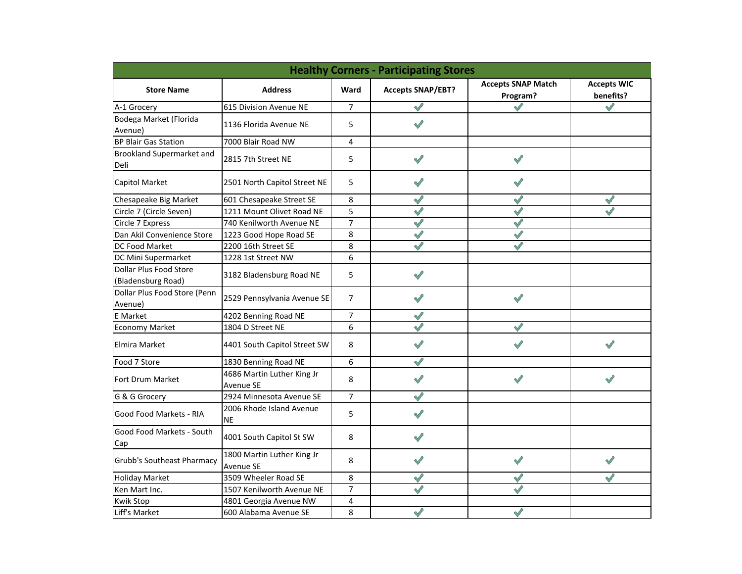| <b>Healthy Corners - Participating Stores</b> |                                         |                |                          |                                       |                                 |  |  |  |
|-----------------------------------------------|-----------------------------------------|----------------|--------------------------|---------------------------------------|---------------------------------|--|--|--|
| <b>Store Name</b>                             | <b>Address</b>                          | Ward           | <b>Accepts SNAP/EBT?</b> | <b>Accepts SNAP Match</b><br>Program? | <b>Accepts WIC</b><br>benefits? |  |  |  |
| A-1 Grocery                                   | 615 Division Avenue NE                  | $\overline{7}$ |                          |                                       | $\mathscr{S}$                   |  |  |  |
| Bodega Market (Florida<br>Avenue)             | 1136 Florida Avenue NE                  | 5              |                          |                                       |                                 |  |  |  |
| <b>BP Blair Gas Station</b>                   | 7000 Blair Road NW                      | 4              |                          |                                       |                                 |  |  |  |
| Brookland Supermarket and<br>Deli             | 2815 7th Street NE                      | 5              | $\checkmark$             | $\mathscr{S}$                         |                                 |  |  |  |
| <b>Capitol Market</b>                         | 2501 North Capitol Street NE            | 5              | $\mathscr{S}$            | $\checkmark$                          |                                 |  |  |  |
| Chesapeake Big Market                         | 601 Chesapeake Street SE                | 8              | $\sqrt{}$                | $\mathscr{O}$                         | $\mathscr{S}$                   |  |  |  |
| Circle 7 (Circle Seven)                       | 1211 Mount Olivet Road NE               | 5              | $\sqrt{}$                | $\mathscr{S}$                         |                                 |  |  |  |
| Circle 7 Express                              | 740 Kenilworth Avenue NE                | 7              | $\sqrt{}$                | $\bigvee$                             |                                 |  |  |  |
| Dan Akil Convenience Store                    | 1223 Good Hope Road SE                  | 8              | $\checkmark$             | $\checkmark$                          |                                 |  |  |  |
| DC Food Market                                | 2200 16th Street SE                     | 8              | $\sqrt{}$                | $\mathscr{S}$                         |                                 |  |  |  |
| DC Mini Supermarket                           | 1228 1st Street NW                      | 6              |                          |                                       |                                 |  |  |  |
| Dollar Plus Food Store                        | 3182 Bladensburg Road NE                | 5              | $\sqrt{}$                |                                       |                                 |  |  |  |
| (Bladensburg Road)                            |                                         |                |                          |                                       |                                 |  |  |  |
| Dollar Plus Food Store (Penn<br>Avenue)       | 2529 Pennsylvania Avenue SE             | $\overline{7}$ | $\mathscr{S}$            | $\sqrt{}$                             |                                 |  |  |  |
| <b>E</b> Market                               | 4202 Benning Road NE                    | $\overline{7}$ | $\checkmark$             |                                       |                                 |  |  |  |
| <b>Economy Market</b>                         | 1804 D Street NE                        | 6              | $\checkmark$             |                                       |                                 |  |  |  |
| Elmira Market                                 | 4401 South Capitol Street SW            | 8              |                          |                                       |                                 |  |  |  |
| Food 7 Store                                  | 1830 Benning Road NE                    | 6              |                          |                                       |                                 |  |  |  |
| Fort Drum Market                              | 4686 Martin Luther King Jr<br>Avenue SE | 8              | $\mathscr{O}$            | $\mathscr{S}$                         |                                 |  |  |  |
| G & G Grocery                                 | 2924 Minnesota Avenue SE                | $\overline{7}$ | $\mathscr{S}$            |                                       |                                 |  |  |  |
| Good Food Markets - RIA                       | 2006 Rhode Island Avenue<br><b>NE</b>   | 5              | $\checkmark$             |                                       |                                 |  |  |  |
| Good Food Markets - South<br>Cap              | 4001 South Capitol St SW                | 8              |                          |                                       |                                 |  |  |  |
| <b>Grubb's Southeast Pharmacy</b>             | 1800 Martin Luther King Jr<br>Avenue SE | 8              |                          | $\mathscr{O}$                         |                                 |  |  |  |
| <b>Holiday Market</b>                         | 3509 Wheeler Road SE                    | 8              | $\checkmark$             | $\checkmark$                          | $\checkmark$                    |  |  |  |
| Ken Mart Inc.                                 | 1507 Kenilworth Avenue NE               | $\overline{7}$ |                          |                                       |                                 |  |  |  |
| <b>Kwik Stop</b>                              | 4801 Georgia Avenue NW                  | 4              |                          |                                       |                                 |  |  |  |
| Liff's Market                                 | 600 Alabama Avenue SE                   | 8              |                          |                                       |                                 |  |  |  |